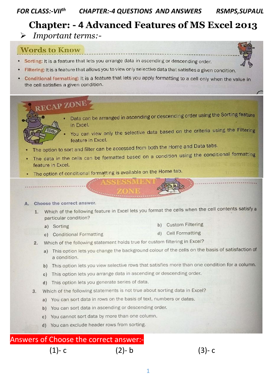#### **FOR CLASS:-VIIth CHAPTER:-4 QUESTIONS AND ANSWERS RSMPS, SUPAUL**

# **Chapter: - 4 Advanced Features of MS Excel 2013**

Important terms:-

## **Words to Know**

- Sorting: It is a feature that lets you arrange data in ascending or descending order.
	- Filtering: It is a feature that allows you to view only selective data that satisfies a given condition.
- Conditional formatting: It is a feature that lets you apply formatting to a cell only when the value in the cell satisfies a given condition.

# **RECAP ZONE**



- Data can be arranged in ascending or descending order using the Sorting feature in Excel.
	- You can view only the selective data based on the criteria using the Filtering feature in Excel.
- The option to sort and filter can be accessed from both the Home and Data tabs.
- The data in the cells can be formatted based on a condition using the conditional formatting feature in Excel.
- The option of conditional formatting is available on the Home tab.

#### Choose the correct answer.

- 1. Which of the following feature in Excel lets you format the cells when the cell contents satisfy a particular condition?
	- a) Sorting
- **b)** Custom Filtering
- d) Cell Formatting c) Conditional Formatting
- Which of the following statement holds true for custom filtering in Excel?  $2.$ 
	- a) This option lets you change the background colour of the cells on the basis of satisfaction of a condition.
	- b) This option lets you view selective rows that satisfies more than one condition for a column.
	- c) This option lets you arrange data in ascending or descending order.
	- d) This option lets you generate series of data.
- 3. Which of the following statements is not true about sorting data in Excel?
	- a) You can sort data in rows on the basis of text, numbers or dates.
	- b) You can sort data in ascending or descending order.
	- c) You cannot sort data by more than one column.
	- d) You can exclude header rows from sorting.

#### Answers of Choose the correct answer:-

### $(1)-c$

### (2)- b

 $(3)-c$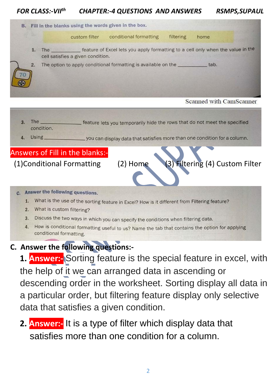#### *FOR CLASS:-VII th CHAPTER:-4 QUESTIONS AND ANSWERS RSMPS,SUPAUL*

B. Fill in the blanks using the words given in the box. conditional formatting custom filter filtering home 1. The feature of Excel lets you apply formatting to a cell only when the value in the cell satisfies a given condition. The option to apply conditional formatting is available on the \_\_\_\_\_\_\_\_\_\_\_ tab.  $2.$ 70

3. The  $_{-}$ feature lets you temporarily hide the rows that do not meet the specified condition. Using \_you can display data that satisfies more than one condition for a column. Answers of Fill in the blanks:- (1)Conditional Formatting (2) Home (3) Filtering (4) Custom Filter c. Answer the following questions. 1. What is the use of the sorting feature in Excel? How is it different from Filtering feature? 2. What is custom filtering? 3. Discuss the two ways in which you can specify the conditions when filtering data. 4. How is conditional formatting useful to us? Name the tab that contains the option for applying conditional formatting.

## **C. Answer the following questions:-**

**1. Answer:-** Sorting feature is the special feature in excel, with the help of it we can arranged data in ascending or descending order in the worksheet. Sorting display all data in a particular order, but filtering feature display only selective data that satisfies a given condition.

**2. Answer:-** It is a type of filter which display data that satisfies more than one condition for a column.

Scanned with CamScanner